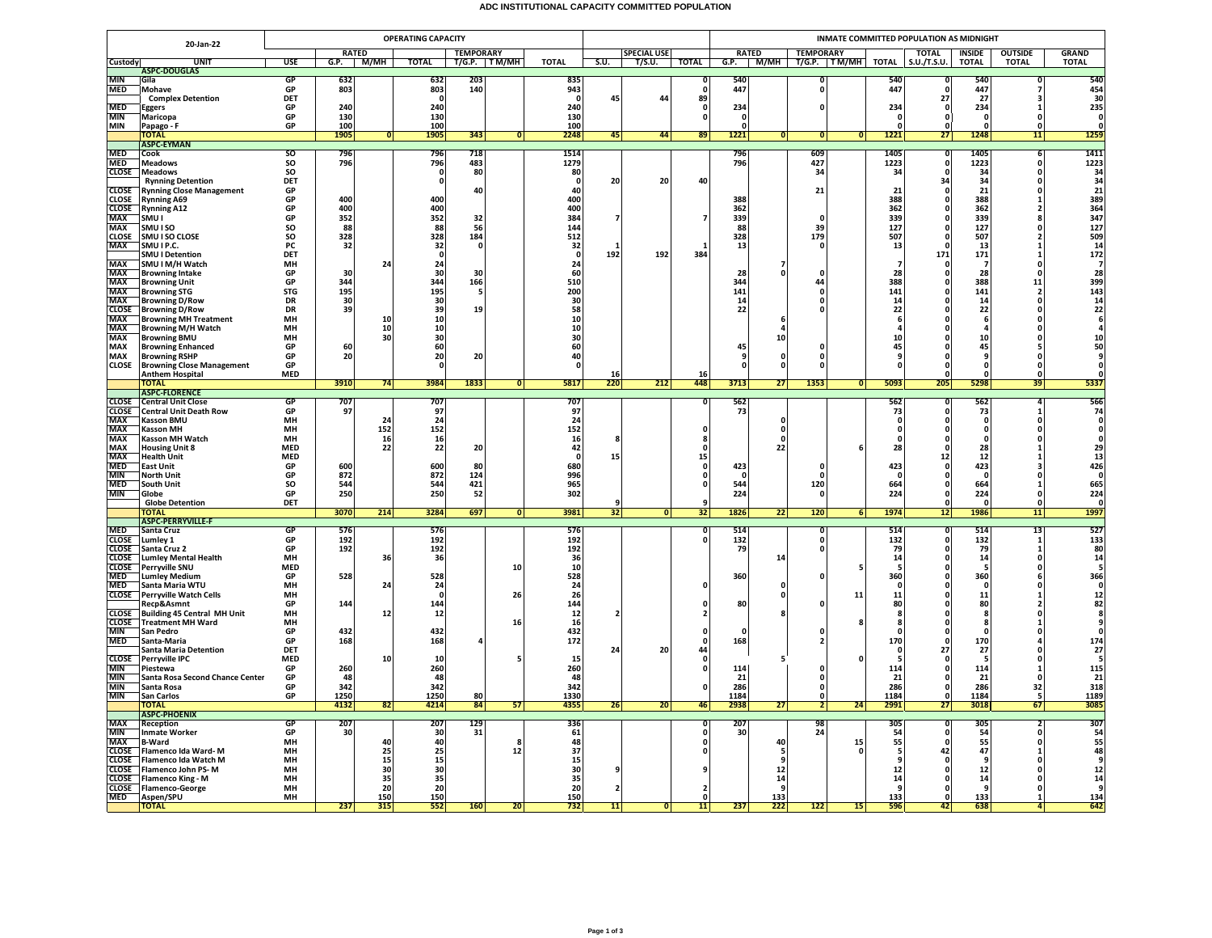## **ADC INSTITUTIONAL CAPACITY COMMITTED POPULATION**

|                              | <b>OPERATING CAPACITY</b>                                      |                  |              |              |                 |                  |                         |              |      |                    |                | INMATE COMMITTED POPULATION AS MIDNIGHT |                          |                        |            |                   |                          |                              |                                         |  |  |
|------------------------------|----------------------------------------------------------------|------------------|--------------|--------------|-----------------|------------------|-------------------------|--------------|------|--------------------|----------------|-----------------------------------------|--------------------------|------------------------|------------|-------------------|--------------------------|------------------------------|-----------------------------------------|--|--|
| 20-Jan-22                    |                                                                |                  | <b>RATED</b> |              |                 | <b>TEMPORARY</b> |                         |              |      | <b>SPECIAL USE</b> |                |                                         | <b>RATED</b>             | <b>TEMPORARY</b>       |            | <b>TOTAL</b>      | INSIDE                   | <b>OUTSIDE</b>               | <b>GRAND</b>                            |  |  |
| Custody                      | <b>UNIT</b><br><b>ASPC-DOUGLAS</b>                             | <b>USE</b>       | G.P.         | M/MH         | TOTAL           |                  | T/G.P. TM/MH            | <b>TOTAL</b> | S.U. | T/S.U.             | TOTAL          |                                         |                          | G.P. M/MH T/G.P. TM/MH |            | TOTAL S.U./T.S.U. | <b>TOTAL</b>             | <b>TOTAL</b>                 | <b>TOTAL</b>                            |  |  |
| <b>MIN</b>                   | Gila                                                           | GP               | 632          |              | 632             | 203              |                         | 835          |      |                    | n              | 540                                     |                          | n                      | 540        |                   | 540                      |                              | 540                                     |  |  |
| <b>MED</b>                   | Mohave                                                         | GP               | 803          |              | 803             | 140              |                         | 943          |      |                    | $\mathbf{0}$   | 447                                     |                          | O                      | 447        |                   | 447                      |                              | 454                                     |  |  |
| MED                          | <b>Complex Detention</b><br><b>Eggers</b>                      | <b>DET</b><br>GP | 240          |              | $\Omega$<br>240 |                  |                         | - 0<br>240   | 45   | 44                 | 89<br>0        | 234                                     |                          |                        | 234        | 27<br>0           | 27<br>234                | ٦                            | 30<br>235                               |  |  |
| <b>MIN</b>                   | Maricopa                                                       | GP               | 130          |              | 130             |                  |                         | 130          |      |                    | $\Omega$       | - 0                                     |                          |                        | O          | $\Omega$          | $\Omega$                 | $\Omega$                     | - 0                                     |  |  |
| MIN                          | Papago - F                                                     | GP               | 100          |              | 100             |                  |                         | 100          |      |                    |                | $\mathbf{0}$                            |                          |                        |            |                   |                          | 0                            |                                         |  |  |
|                              | <b>TOTAL</b>                                                   |                  | 1905         | $\mathbf{0}$ | 1905            | 343              | $\Omega$                | 2248         | 45   | 44                 | 89             | $1221$                                  | 0                        | 0 <br>$\mathbf{0}$     | 1221       | 27                | 1248                     | 11                           | 1259                                    |  |  |
| <b>MED</b>                   | <b>ASPC-EYMAN</b><br>Cook                                      | <sub>SO</sub>    | 796          |              | 796             | 718              |                         | 1514         |      |                    |                | 796                                     |                          | 609                    | 1405       | - 0               | 1405                     | 6                            | 1411                                    |  |  |
| <b>MED</b>                   | <b>Meadows</b>                                                 | SO               | 796          |              | 796             | 483              |                         | 1279         |      |                    |                | 796                                     |                          | 427                    | 1223       | 0                 | 1223                     | $\Omega$                     | 1223                                    |  |  |
| <b>CLOSE</b>                 | Meadows                                                        | SO               |              |              | 0               | 80               |                         | 80           |      |                    |                |                                         |                          | 34                     | 34         | $\Omega$          | 34                       | $\Omega$                     | 34                                      |  |  |
| <b>CLOSE</b>                 | <b>Rynning Detention</b><br><b>Rynning Close Management</b>    | DET<br>GP        |              |              | $\mathbf 0$     | 40               |                         | 0<br>40      | 20   | 20                 | 40             |                                         |                          | 21                     | 21         | 34<br>0           | 34<br>21                 | 0<br>$\Omega$                | 34<br>$\overline{21}$                   |  |  |
| <b>CLOSE</b>                 | <b>Rynning A69</b>                                             | GP               | 400          |              | 400             |                  |                         | 400          |      |                    |                | 388                                     |                          |                        | 388        |                   | 388                      |                              | 389                                     |  |  |
| <b>CLOSE</b>                 | <b>Rynning A12</b>                                             | GP               | 400          |              | 400             |                  |                         | 400          |      |                    |                | 362                                     |                          |                        | 362        |                   | 362                      | 2                            | 364<br>347                              |  |  |
| MAX<br><b>MAX</b>            | SMU I                                                          | GP               | 352<br>88    |              | 352             | 32               |                         | 384          |      |                    | 7              | 339                                     |                          | 39                     | 339        |                   | 339                      | 8<br>$\Omega$                | 127                                     |  |  |
| <b>CLOSE</b>                 | SMU I SO<br>SMU I SO CLOSE                                     | SO<br>SO         | 328          |              | 88<br>328       | 56<br>184        |                         | 144<br>512   |      |                    |                | 88<br>328                               |                          | 179                    | 127<br>507 |                   | 127<br>507               | $\overline{2}$               |                                         |  |  |
| <b>MAX</b>                   | SMU I P.C.                                                     | PC               | 32           |              | 32              | $\Omega$         |                         | 32           |      |                    |                | 13                                      |                          | o                      | 13         |                   | 13                       | $\mathbf{1}$                 | 509<br>14                               |  |  |
|                              | <b>SMU I Detention</b>                                         | DET              |              |              | $\mathbf{0}$    |                  |                         | $\mathbf 0$  | 192  | 192                | 384            |                                         |                          |                        |            | 171               | 171                      | $\mathbf{1}$                 | 172                                     |  |  |
| <b>MAX</b><br>MAX            | SMU I M/H Watch<br><b>Browning Intake</b>                      | MH<br>GP         | 30           | 24           | 24<br>30        | 30               |                         | 24<br>60     |      |                    |                | 28                                      | 7<br>$\mathbf{0}$        |                        | 28         |                   | -7<br>28                 | $\mathbf{0}$<br>$\mathbf 0$  | $\overline{7}$                          |  |  |
| <b>MAX</b>                   | <b>Browning Unit</b>                                           | GP               | 344          |              | 344             | 166              |                         | 510          |      |                    |                | 344                                     |                          | 44                     | 388        |                   | 388                      | 11                           |                                         |  |  |
| <b>MAX</b>                   | <b>Browning STG</b>                                            | <b>STG</b>       | 195          |              | 195             | -5               |                         | 200          |      |                    |                | 141                                     |                          |                        | 141        |                   | 141                      | $\overline{2}$               |                                         |  |  |
| <b>MAX</b><br><b>CLOSE</b>   | <b>Browning D/Row</b>                                          | DR<br><b>DR</b>  | 30<br>39     |              | 30<br>39        | 19               |                         | 30<br>58     |      |                    |                | 14<br>22                                |                          |                        | 14<br>22   |                   | 14<br>22                 | $\mathbf 0$<br>$\mathbf{0}$  | $28$<br>399<br>143<br>14<br>22          |  |  |
| MAX                          | <b>Browning D/Row</b><br><b>Browning MH Treatment</b>          | MH               |              | 10           | 10              |                  |                         | 10           |      |                    |                |                                         | 6                        |                        |            |                   | 6                        | 0                            |                                         |  |  |
| <b>MAX</b>                   | <b>Browning M/H Watch</b>                                      | MH               |              | 10           | 10              |                  |                         | 10           |      |                    |                |                                         |                          |                        |            |                   |                          | 0                            |                                         |  |  |
| <b>MAX</b>                   | <b>Browning BMU</b>                                            | MH               |              | 30           | 30              |                  |                         | 30           |      |                    |                |                                         | 10                       |                        | 10         |                   | 10                       |                              | 10                                      |  |  |
| MAX<br>MAX                   | <b>Browning Enhanced</b><br><b>Browning RSHP</b>               | GP<br>GP         | 60<br>20     |              | 60<br>20        | 20               |                         | 60<br>40     |      |                    |                | 45<br>9                                 | 0                        | 0                      | 45<br>9    |                   | 45<br>9                  | 5<br>$\mathbf{0}$            | 50                                      |  |  |
| <b>CLOSE</b>                 | <b>Browning Close Management</b>                               | GP               |              |              | $\Omega$        |                  |                         | O            |      |                    |                | $\Omega$                                | 0                        | ი                      |            |                   | $\Omega$                 | $\Omega$                     |                                         |  |  |
|                              | <b>Anthem Hospital</b>                                         | <b>MED</b>       |              |              |                 |                  |                         |              | 16   |                    | 16             |                                         |                          |                        |            |                   | $\mathbf 0$              | 0                            |                                         |  |  |
|                              | <b>TOTAL</b><br><b>ASPC-FLORENCE</b>                           |                  | 3910         | 74           | 3984            | 1833             | $\overline{0}$          | 5817         | 220  | 212                | 448            | 3713                                    | 27                       | 1353<br> 0             | 5093       | 205               | 5298                     | 39                           | 5337                                    |  |  |
|                              | <b>CLOSE</b> Central Unit Close                                | GP               | 707          |              | 707             |                  |                         | 707          |      |                    | $\mathbf{0}$   | 562                                     |                          |                        | 562        |                   | 562                      | Δ                            | 566                                     |  |  |
| <b>CLOSE</b>                 | <b>Central Unit Death Row</b>                                  | GP               | 97           |              | 97              |                  |                         | 97           |      |                    |                | 73                                      |                          |                        | 73         |                   | 73                       |                              | 74                                      |  |  |
| <b>MAX</b><br>MAX            | <b>Kasson BMU</b>                                              | MH<br>MH         |              | 24<br>152    | 24<br>152       |                  |                         | 24<br>152    |      |                    |                |                                         | $\Omega$<br>$\mathbf{0}$ |                        | $\Omega$   |                   | $\Omega$<br>$\mathbf{0}$ | $\Omega$                     | $\Omega$                                |  |  |
| <b>MAX</b>                   | <b>Kasson MH</b><br>Kasson MH Watch                            | MH               |              | 16           | 16              |                  |                         | 16           |      |                    | -8             |                                         | $\Omega$                 |                        |            |                   | $\Omega$                 |                              |                                         |  |  |
| MAX<br>MAX                   | <b>Housing Unit 8</b>                                          | <b>MED</b>       |              | 22           | 22              | 20               |                         | 42           |      |                    |                |                                         | 22                       |                        | 28         |                   | 28                       |                              | 29                                      |  |  |
|                              | <b>Health Unit</b>                                             | <b>MED</b>       |              |              |                 |                  |                         | - 0          | 15   |                    | 15             |                                         |                          |                        |            | 12                | 12                       |                              | $13$                                    |  |  |
| MED<br><b>MIN</b>            | East Unit<br><b>North Unit</b>                                 | GP<br>GP         | 600<br>872   |              | 600<br>872      | 80<br>124        |                         | 680<br>996   |      |                    | 0<br>0         | 423<br>- 0                              |                          | $\Omega$               | 423<br>-0  |                   | 423<br>- 0               | $\Omega$                     | 426<br>$\mathbf{o}$                     |  |  |
| <b>MED</b>                   | South Unit                                                     | SO               | 544          |              | 544             | 421              |                         | 965          |      |                    | $\mathbf{0}$   | 544                                     |                          | 120                    | 664        |                   | 664                      | 1                            | 665                                     |  |  |
| <b>MIN</b>                   | Globe                                                          | GP               | 250          |              | 250             | 52               |                         | 302          |      |                    |                | 224                                     |                          | $\Omega$               | 224        |                   | 224                      | $\Omega$                     | 224                                     |  |  |
|                              | <b>Globe Detention</b><br>TOTAL                                | DET              | 3070         | 214          | 3284            | 697              | $\overline{\mathbf{0}}$ | 3981         | 32   | 0                  | 32             | 1826                                    | 22                       | 120<br>$6 \mid$        | 1974       | 12                | $\mathbf{0}$<br>1986     | $\Omega$<br>11               | $\Omega$<br>1997                        |  |  |
|                              | <b>ASPC-PERRYVILLE-F</b>                                       |                  |              |              |                 |                  |                         |              |      |                    |                |                                         |                          |                        |            |                   |                          |                              |                                         |  |  |
| <b>MED</b>                   | Santa Cruz                                                     | GP               | 576          |              | 576             |                  |                         | 576          |      |                    | $\overline{0}$ | 514                                     |                          | O                      | 514        |                   | 514                      | 13                           | 527                                     |  |  |
| <b>CLOSE</b><br><b>CLOSE</b> | Lumley 1<br>Santa Cruz 2                                       | GP<br>GP         | 192<br>192   |              | 192<br>192      |                  |                         | 192<br>192   |      |                    | $\mathbf{0}$   | 132<br>79                               |                          | 0<br><sup>0</sup>      | 132<br>79  |                   | 132<br>79                | $\mathbf{1}$<br>$\mathbf{1}$ | 133<br>80                               |  |  |
| <b>CLOSE</b>                 | <b>Lumley Mental Health</b>                                    | MH               |              | 36           | 36              |                  |                         | 36           |      |                    |                |                                         | 14                       |                        | 14         | $\Omega$          | 14                       | $\mathbf 0$                  | 14                                      |  |  |
| <b>CLOSE</b>                 | Perryville SNU                                                 | <b>MED</b>       |              |              |                 |                  | 10                      | 10           |      |                    |                |                                         |                          |                        | -5         |                   | -5                       | $\Omega$                     | 5                                       |  |  |
| MED                          | <b>Lumley Medium</b>                                           | GP               | 528          | 24           | 528             |                  |                         | 528          |      |                    | $\mathbf{0}$   | 360                                     | 0                        |                        | 360        |                   | 360<br>- 0               | 6<br>$\Omega$                | 366<br>$\Omega$                         |  |  |
| <b>MED</b><br><b>CLOSE</b>   | Santa Maria WTU<br>Perryville Watch Cells                      | MH<br>MH         |              |              | 24<br>$\Omega$  |                  | 26                      | 24<br>26     |      |                    |                |                                         | 0                        | 11                     | 11         |                   | 11                       |                              |                                         |  |  |
|                              | Recp&Asmnt                                                     | GP               | 144          |              | 144             |                  |                         | 144          |      |                    |                | 80                                      |                          |                        | 80         |                   | 80                       |                              | $\begin{array}{c} 12 \\ 82 \end{array}$ |  |  |
| <b>CLOSE</b><br>CLOSE        | <b>Building 45 Central MH Unit</b>                             | MH               |              | 12           | 12              |                  |                         | 12           |      |                    |                |                                         |                          |                        | я          |                   | 8                        |                              | 8                                       |  |  |
| <b>MIN</b>                   | <b>Treatment MH Ward</b><br>San Pedro                          | MH<br>GP         | 432          |              | 432             |                  | 16                      | 16<br>432    |      |                    |                | $\Omega$                                |                          |                        | O          |                   | n                        |                              |                                         |  |  |
| <b>MED</b>                   | Santa-Maria                                                    | GP               | 168          |              | 168             |                  |                         | 172          |      |                    | 0              | 168                                     |                          |                        | 170        |                   | 170                      |                              | 174                                     |  |  |
|                              | Santa Maria Detention                                          | <b>DET</b>       |              |              |                 |                  |                         |              | 24   | 20                 | 44             |                                         |                          |                        |            | 27                | 27                       | O                            | 27                                      |  |  |
| <b>CLOSE</b><br><b>MIN</b>   | Perryville IPC<br>Piestewa                                     | <b>MED</b><br>GP | 260          | 10           | 10<br>260       |                  |                         | 15<br>260    |      |                    | 0<br>0         | 114                                     |                          | 0                      | 114        |                   | -5<br>114                | 0<br>-1                      | 5<br>115                                |  |  |
| <b>MIN</b>                   | Santa Rosa Second Chance Center                                | GP               | 48           |              | 48              |                  |                         | 48           |      |                    |                | 21                                      |                          | 0                      | 21         |                   | 21                       | 0                            | 21                                      |  |  |
| <b>MIN</b>                   | Santa Rosa                                                     | GP               | 342          |              | 342             |                  |                         | 342          |      |                    | 0              | 286                                     |                          | 0                      | 286        |                   | 286                      | 32                           | 318                                     |  |  |
| MIN                          | San Carlos<br><b>TOTAL</b>                                     | GP               | 1250<br>4132 |              | 1250<br>4214    | 80<br>84         |                         | 1330<br>4355 | 26   | 20                 |                | 1184<br>2938                            | 27                       | 0<br>24                | 1184       | 27                | 1184<br>3018             | 5                            | 1189<br>3085                            |  |  |
|                              | <b>ASPC-PHOENIX</b>                                            |                  |              | 82           |                 |                  | 57                      |              |      |                    | 46             |                                         |                          | $\mathbf{2}$           | 2991       |                   |                          | 67                           |                                         |  |  |
| <b>MAX</b>                   | Reception                                                      | GP               | 207          |              | 207             | 129              |                         | 336          |      |                    | л              | 207                                     |                          | 98                     | 305        |                   | 305                      | ,                            | 307                                     |  |  |
| MIN                          | Inmate Worker                                                  | GP<br>MH         | 30           |              | 30              | 31               |                         | 61           |      |                    |                | 30                                      |                          | 24                     | 54         |                   | 54                       | $\Omega$                     | 54                                      |  |  |
| MAX<br><b>CLOSE</b>          | <b>B-Ward</b><br>Flamenco Ida Ward-M                           | MH               |              | 40<br>25     | 40<br>25        |                  | 8<br>12                 | 48<br>37     |      |                    | $\mathbf{0}$   |                                         | 40<br>5                  | 15                     | 55         | 42                | 55<br>47                 | $\Omega$                     | 55<br>48                                |  |  |
| <b>CLOSE</b>                 | Flamenco Ida Watch M                                           | MH               |              | 15           | 15              |                  |                         | 15           |      |                    |                |                                         | q                        |                        |            |                   | <b>q</b>                 | $\Omega$                     | $\mathbf{q}$                            |  |  |
| CLOSE                        | Flamenco John PS-M                                             | MH               |              | 30           | 30              |                  |                         | 30           |      |                    |                |                                         | 12                       |                        | 12         |                   | 12                       | $\mathbf{0}$                 | $\begin{array}{c} 12 \\ 14 \end{array}$ |  |  |
|                              | <b>CLOSE</b> Flamenco King - M<br><b>CLOSE</b> Flamenco-George | MH<br>MH         |              | 35<br>20     | 35<br>20        |                  |                         | 35<br>20     |      |                    |                |                                         | 14<br>9                  |                        | 14         |                   | 14<br>9                  | $\Omega$<br>$\mathbf{0}$     |                                         |  |  |
| <b>MED</b>                   | Aspen/SPU                                                      | MH               |              | 150          | 150             |                  |                         | 150          |      |                    | O              |                                         | 133                      |                        | 133        |                   | 133                      | $\mathbf{1}$                 | 134                                     |  |  |
|                              | <b>TOTAL</b>                                                   |                  | 237          | 315          | 552             | 160              | 20                      | 732          | 11   |                    | 11             | 237                                     | 222                      | $122$<br>15            | 596        | 42                | 638                      |                              | 642                                     |  |  |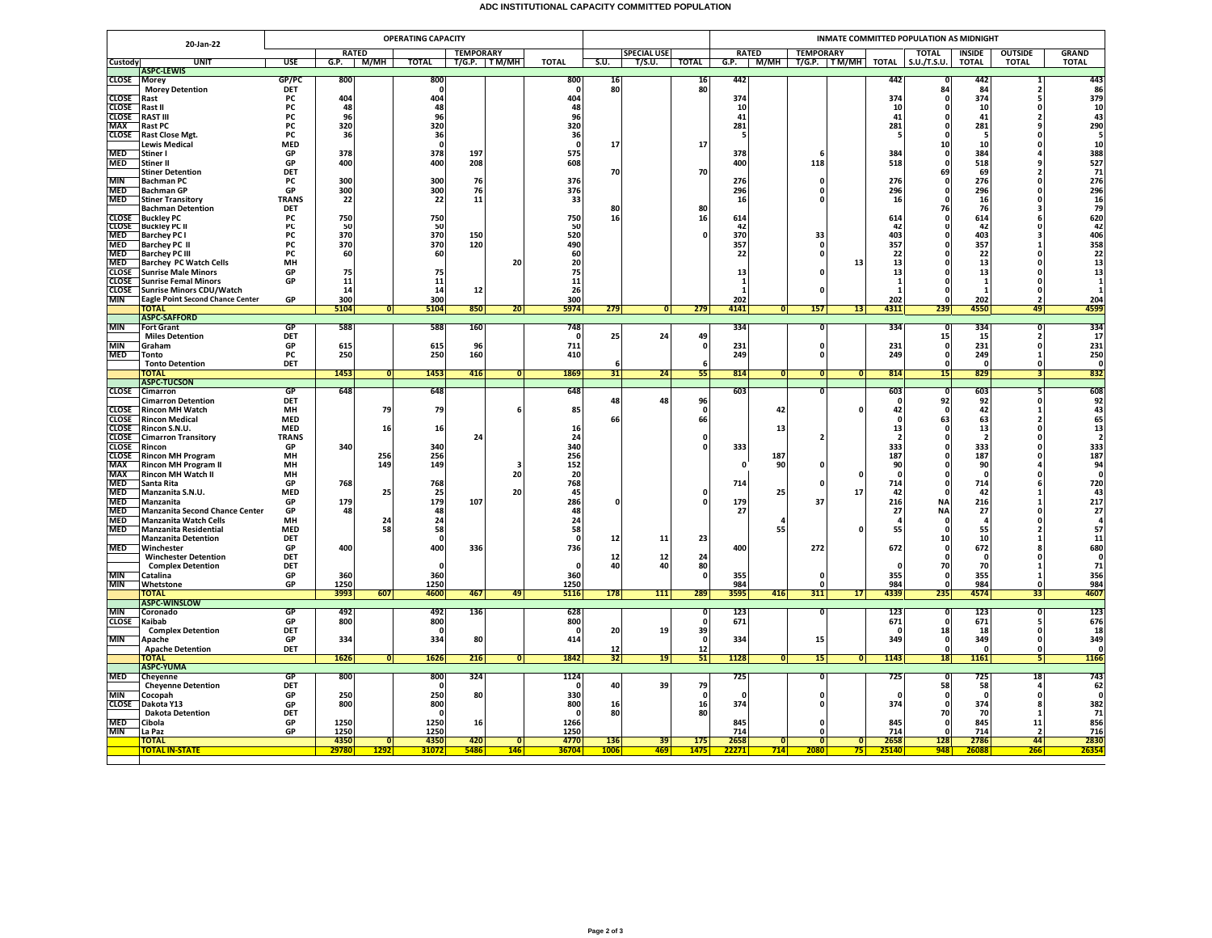## **ADC INSTITUTIONAL CAPACITY COMMITTED POPULATION**

|                              | <b>OPERATING CAPACITY</b><br>20-Jan-22                         |                    |              |                |                      |                                  |                         |                  |                    |                |                    | <b>INMATE COMMITTED POPULATION AS MIDNIGHT</b> |                |                               |                 |                          |                        |                      |                                |                                          |  |
|------------------------------|----------------------------------------------------------------|--------------------|--------------|----------------|----------------------|----------------------------------|-------------------------|------------------|--------------------|----------------|--------------------|------------------------------------------------|----------------|-------------------------------|-----------------|--------------------------|------------------------|----------------------|--------------------------------|------------------------------------------|--|
|                              |                                                                |                    |              | <b>RATED</b>   |                      | <b>TEMPORARY</b><br>T/G.P. TM/MH |                         |                  | <b>SPECIAL USE</b> |                |                    | <b>RATED</b>                                   |                | <b>TEMPORARY</b>              |                 |                          | <b>TOTAL</b>           | <b>INSIDE</b>        | <b>OUTSIDE</b>                 | <b>GRAND</b>                             |  |
| Custody                      | <b>UNIT</b><br><b>ASPC-LEWIS</b>                               | USE                | G.P.         | M/MH           | <b>TOTAL</b>         |                                  |                         | <b>TOTAL</b>     | S.U.               | T/S.U.         | <b>TOTAL</b>       | G.P.                                           |                | M/MH   T/G.P.   TM/MH   TOTAL |                 |                          | S.U./T.S.U.            | <b>TOTAL</b>         | <b>TOTAL</b>                   | <b>TOTAL</b>                             |  |
| <b>CLOSE</b>                 | <b>Morev</b>                                                   | GP/PC              | 800          |                | 800                  |                                  |                         | 800              | 16                 |                | 16                 | 442                                            |                |                               |                 | 442                      |                        | 442                  | 1                              | 443                                      |  |
|                              | <b>Morey Detention</b>                                         | DET                |              |                | $\mathbf{0}$         |                                  |                         |                  | 80                 |                | 80                 |                                                |                |                               |                 |                          | 84                     | 84                   | $\overline{2}$                 | 86                                       |  |
| <b>CLOSE</b><br><b>CLOSE</b> | Rast<br>Rast II                                                | PC<br>PC           | 404<br>48    |                | 404<br>48            |                                  |                         | 404<br>48        |                    |                |                    | 374<br>10                                      |                |                               |                 | 374<br>10                | n                      | 374<br>10            | 5<br>$\Omega$                  | 379<br>${\bf 10}$                        |  |
| <b>CLOSE</b>                 | <b>RAST III</b>                                                | PC                 | 96           |                | 96                   |                                  |                         | 96               |                    |                |                    | 41                                             |                |                               |                 | 41                       |                        | 41                   | $\overline{2}$                 | 43                                       |  |
| <b>MAX</b>                   | <b>Rast PC</b>                                                 | PC                 | 320          |                | 320                  |                                  |                         | 320              |                    |                |                    | 281                                            |                |                               |                 | 281                      |                        | 281                  |                                | 290                                      |  |
| <b>CLOSE</b>                 | <b>Rast Close Mgt.</b>                                         | <b>PC</b>          | 36           |                | 36                   |                                  |                         | 36               |                    |                |                    | - 5                                            |                |                               |                 | -5                       |                        | - 5                  | $\Omega$                       | 5                                        |  |
| <b>MED</b>                   | <b>Lewis Medical</b><br>Stiner I                               | <b>MED</b><br>GP   | 378          |                | $\mathbf{0}$<br>378  | 197                              |                         | $\Omega$<br>575  | 17                 |                | 17                 | 378                                            |                |                               |                 | 384                      | 10                     | 10<br>384            | O                              | 10<br>388                                |  |
| <b>MED</b>                   | Stiner II                                                      | GP                 | 400          |                | 400                  | 208                              |                         | 608              |                    |                |                    | 400                                            |                | 118                           |                 | 518                      |                        | 518                  | 9                              | 527                                      |  |
|                              | <b>Stiner Detention</b>                                        | DET                |              |                |                      |                                  |                         |                  | 70                 |                | 70                 |                                                |                |                               |                 |                          | 69                     | 69                   | $\overline{2}$                 | 71                                       |  |
| <b>MIN</b>                   | <b>Bachman PC</b>                                              | PC                 | 300          |                | 300                  | 76                               |                         | 376              |                    |                |                    | 276                                            |                | $\Omega$                      |                 | 276                      |                        | 276                  | $\Omega$                       | 276                                      |  |
| <b>MED</b><br><b>MED</b>     | <b>Bachman GP</b><br><b>Stiner Transitory</b>                  | GP<br><b>TRANS</b> | 300<br>22    |                | 300<br>22            | 76<br>11                         |                         | 376<br>33        |                    |                |                    | 296<br>16                                      |                | 0<br>O                        |                 | 296<br>16                | n                      | 296<br>16            | $\Omega$<br>n                  | 296<br>16                                |  |
|                              | <b>Bachman Detention</b>                                       | <b>DET</b>         |              |                |                      |                                  |                         |                  | 80                 |                | 80                 |                                                |                |                               |                 |                          | 76                     | 76                   | ٦                              | 79                                       |  |
| <b>CLOSE</b>                 | <b>Buckley PC</b>                                              | PC                 | 750          |                | 750                  |                                  |                         | 750              | 16                 |                | 16                 | 614                                            |                |                               |                 | 614                      |                        | 614                  | 6                              | 620<br>42                                |  |
| <b>CLOSE</b><br><b>MED</b>   | <b>Buckley PC II</b>                                           | РC                 | -50<br>370   |                | 50<br>370            |                                  |                         | 50<br>520        |                    |                | $\Omega$           | $\Delta$<br>370                                |                |                               |                 | 42<br>403                |                        | 42<br>403            | n<br>3                         |                                          |  |
| <b>MED</b>                   | <b>Barchey PC I</b><br><b>Barchey PC II</b>                    | PC<br>PC           | 370          |                | 370                  | 150<br>120                       |                         | 490              |                    |                |                    | 357                                            |                | 33                            |                 | 357                      |                        | 357                  | 1                              |                                          |  |
| <b>MED</b>                   | <b>Barchey PC III</b>                                          | <b>PC</b>          | 60           |                | 60                   |                                  |                         | 60               |                    |                |                    | 22                                             |                | 0                             |                 | 22                       |                        | 22                   | 0                              | 406<br>358<br>22<br>22<br>13             |  |
| <b>MED</b>                   | <b>Barchey PC Watch Cells</b>                                  | MH                 |              |                |                      |                                  | 20                      | 20               |                    |                |                    |                                                |                |                               | 13              | 13                       |                        | 13                   | $\Omega$                       |                                          |  |
| <b>CLOSE</b>                 | <b>Sunrise Male Minors</b>                                     | GP                 | 75           |                | 75                   |                                  |                         | 75               |                    |                |                    | 13                                             |                | O                             |                 | 13                       |                        | 13                   | O                              | 13                                       |  |
| <b>CLOSE</b><br><b>CLOSE</b> | <b>Sunrise Femal Minors</b><br><b>Sunrise Minors CDU/Watch</b> | GP                 | 11<br>14     |                | 11<br>14             | 12                               |                         | 11<br>26         |                    |                |                    | -1<br>$\mathbf{1}$                             |                | $\Omega$                      |                 | $\mathbf{1}$<br>-1       |                        | $\overline{1}$<br>-1 | $\Omega$<br>$\Omega$           | $\mathbf{1}$                             |  |
| <b>MIN</b>                   | <b>Eagle Point Second Chance Center</b>                        | GP                 | 300          |                | 300                  |                                  |                         | 300              |                    |                |                    | 202                                            |                |                               |                 | 202                      |                        | 202                  | $\overline{2}$                 | 204                                      |  |
|                              | <b>TOTAL</b>                                                   |                    | 5104         | $\overline{0}$ | 5104                 | 850                              | 20 <sup>1</sup>         | 5974             | 279                | $\overline{0}$ | 279                | 4141                                           | $\overline{0}$ | 157                           | 13              | 4311                     | 239                    | 4550                 | 49                             | 4599                                     |  |
| <b>MIN</b>                   | <b>ASPC-SAFFORD</b><br><b>Fort Grant</b>                       | GP                 | 588          |                | 588                  | 160                              |                         | 748              |                    |                |                    | 334                                            |                | $\overline{\mathbf{0}}$       |                 | 334                      | - 0                    | 334                  | n                              | 334                                      |  |
|                              | <b>Miles Detention</b>                                         | <b>DET</b>         |              |                |                      |                                  |                         | $\Omega$         | 25                 | 24             | 49                 |                                                |                |                               |                 |                          | 15                     | 15                   | $\overline{\phantom{a}}$       | 17                                       |  |
| <b>MIN</b>                   | Graham                                                         | GP                 | 615          |                | 615                  | 96                               |                         | 711              |                    |                | $\mathbf{0}$       | 231                                            |                | 0                             |                 | 231                      | $\mathbf{0}$           | 231                  | $\mathbf 0$                    | 231                                      |  |
| <b>MED</b>                   | Tonto                                                          | PC                 | 250          |                | 250                  | 160                              |                         | 410              |                    |                |                    | 249                                            |                | $\mathbf 0$                   |                 | 249                      |                        | 249                  | $\mathbf{1}$                   | 250                                      |  |
|                              | <b>Tonto Detention</b><br><b>TOTAL</b>                         | DET                | 1453         | ō              | 1453                 | 416                              | $\overline{\mathbf{0}}$ | 1869             | 6<br>31            | 24             | 55                 | 814                                            | $\overline{0}$ | 0                             | 0               | 814                      | 15                     | $\Omega$<br>829      | $\Omega$<br>$\overline{3}$     | $\Omega$<br>832                          |  |
|                              | <b>ASPC-TUCSON</b>                                             |                    |              |                |                      |                                  |                         |                  |                    |                |                    |                                                |                |                               |                 |                          |                        |                      |                                |                                          |  |
|                              | CLOSE Cimarron                                                 | GP                 | 648          |                | 648                  |                                  |                         | 648              |                    |                |                    | 603                                            |                | O                             |                 | 603                      | n                      | 603                  | 5                              | 608                                      |  |
|                              | <b>Cimarron Detention</b>                                      | <b>DET</b>         |              |                |                      |                                  |                         |                  | 48                 | 48             | 96                 |                                                |                |                               |                 | $\mathbf{0}$             | 92                     | 92                   | $\mathbf 0$                    | 92                                       |  |
| <b>CLOSE</b><br><b>CLOSE</b> | <b>Rincon MH Watch</b><br><b>Rincon Medical</b>                | MH<br><b>MED</b>   |              | 79             | 79                   |                                  |                         | 85               | 66                 |                | $\mathbf{0}$<br>66 |                                                | 42             |                               |                 | 42<br>-0                 | 63                     | 42<br>63             | $\mathbf{1}$<br>$\overline{2}$ | 43<br>65                                 |  |
| <b>CLOSE</b>                 | Rincon S.N.U.                                                  | <b>MED</b>         |              | 16             | 16                   |                                  |                         | 16               |                    |                |                    |                                                | 13             |                               |                 | 13                       | n                      | 13                   | $\Omega$                       | 13                                       |  |
| <b>CLOSE</b>                 | <b>Cimarron Transitory</b>                                     | <b>TRANS</b>       |              |                |                      | 24                               |                         | 24               |                    |                | $\Omega$           |                                                |                | $\overline{2}$                |                 | $\overline{\phantom{a}}$ |                        | $\overline{2}$       | n                              | $\overline{2}$                           |  |
| <b>CLOSE</b>                 | Rincon                                                         | GP                 | 340          |                | 340                  |                                  |                         | 340              |                    |                |                    | 333                                            |                |                               |                 | 333                      |                        | 333                  | 0                              | 333                                      |  |
| <b>CLOSE</b><br><b>MAX</b>   | <b>Rincon MH Program</b><br><b>Rincon MH Program II</b>        | MH<br>MH           |              | 256<br>149     | 256<br>149           |                                  | з                       | 256<br>152       |                    |                |                    | $\Omega$                                       | 187<br>90      | $\pmb{\mathsf{o}}$            |                 | 187<br>90                |                        | 187<br>90            | $\Omega$                       | 187<br>94                                |  |
| MAX                          | <b>Rincon MH Watch II</b>                                      | MH                 |              |                |                      |                                  | 20                      | 20               |                    |                |                    |                                                |                |                               |                 |                          |                        | $\mathbf{0}$         | $\mathbf 0$                    | $\mathbf{0}$                             |  |
| <b>MED</b>                   | Santa Rita                                                     | GP                 | 768          |                | 768                  |                                  |                         | 768              |                    |                |                    | 714                                            |                | 0                             |                 | 714                      |                        | 714                  |                                | 720                                      |  |
| <b>MED</b>                   | Manzanita S.N.U.                                               | <b>MED</b>         |              | 25             | 25                   |                                  | 20                      | 45               |                    |                | $\Omega$           |                                                | 25             |                               | 17              | 42                       |                        | 42                   | 1                              | 43                                       |  |
| <b>MED</b><br><b>MED</b>     | Manzanita<br><b>Manzanita Second Chance Center</b>             | GP<br>GP           | 179<br>48    |                | 179<br>48            | 107                              |                         | 286<br>48        |                    |                | $\Omega$           | 179<br>27                                      |                | 37                            |                 | 216<br>27                | <b>NA</b><br><b>NA</b> | 216<br>27            |                                | $\begin{array}{c} 217 \\ 27 \end{array}$ |  |
| <b>MED</b>                   | Manzanita Watch Cells                                          | MH                 |              | 24             | ${\bf 24}$           |                                  |                         | 24               |                    |                |                    |                                                | $\mathbf{A}$   |                               |                 | $\overline{a}$           |                        |                      | $\Omega$                       | $\overline{\mathbf{a}}$                  |  |
| <b>MED</b>                   | Manzanita Residential                                          | <b>MED</b>         |              | 58             | 58                   |                                  |                         | 58               |                    |                |                    |                                                | 55             |                               |                 | 55                       |                        | 55                   | ,                              | 57                                       |  |
| <b>MED</b>                   | <b>Manzanita Detention</b>                                     | DET                |              |                | $\Omega$             |                                  |                         | 736              | 12                 | 11             | 23                 |                                                |                | 272                           |                 |                          | 10                     | 10                   |                                | $\begin{array}{c} 11 \\ 680 \end{array}$ |  |
|                              | Winchester<br><b>Winchester Detention</b>                      | GP<br>DET          | 400          |                | 400                  | 336                              |                         |                  | 12                 | 12             | 24                 | 400                                            |                |                               |                 | 672                      |                        | 672<br>- 0           | $\Omega$                       | $\pmb{\mathsf{o}}$                       |  |
|                              | <b>Complex Detention</b>                                       | DET                |              |                | $\Omega$             |                                  |                         | $\Omega$         | 40                 | 40             | 80                 |                                                |                |                               |                 | $\Omega$                 | 70                     | 70                   | $\mathbf{1}$                   | 71                                       |  |
| <b>MIN</b>                   | Catalina                                                       | GP                 | 360          |                | 360                  |                                  |                         | 360              |                    |                | $\Omega$           | 355                                            |                | $\Omega$                      |                 | 355                      |                        | 355                  | $\mathbf{1}$                   | 356                                      |  |
| <b>MIN</b>                   | Whetstone<br>TOTAL                                             | GP                 | 1250<br>3993 | 607            | 1250<br>4600         | 467                              | 49                      | 1250<br>5116     | 178                | <b>111</b>     | 289                | 984<br>3595                                    | 416            | $\mathbf{0}$<br>311           | 17 <sup>1</sup> | 984<br>4339              | 235                    | 984<br>4574          | $\mathbf 0$<br>33              | 984<br>4607                              |  |
|                              | <b>ASPC-WINSLOW</b>                                            |                    |              |                |                      |                                  |                         |                  |                    |                |                    |                                                |                |                               |                 |                          |                        |                      |                                |                                          |  |
| <b>MIN</b>                   | Coronado                                                       | GF                 | 492          |                | 492                  | 136                              |                         | 628              |                    |                |                    | 123                                            |                | 0                             |                 | 123                      |                        | 123                  |                                | 123                                      |  |
| <b>CLOSE</b>                 | Kaibab                                                         | GP                 | 800          |                | 800                  |                                  |                         | 800              |                    |                | $\mathbf{0}$       | 671                                            |                |                               |                 | 671                      | $\Omega$               | 671                  | 5                              | 676                                      |  |
| <b>MIN</b>                   | <b>Complex Detention</b><br>Apache                             | DET<br>GP          | 334          |                | $\Omega$<br>334      | 80                               |                         | $\Omega$<br>414  | 20                 | 19             | 39<br>$\mathbf 0$  | 334                                            |                | 15                            |                 | $\Omega$<br>349          | 18                     | 18<br>349            | $\Omega$<br>$\Omega$           | 18<br>349                                |  |
|                              | <b>Apache Detention</b>                                        | DET                |              |                |                      |                                  |                         |                  | 12                 |                | 12                 |                                                |                |                               |                 |                          |                        | $\Omega$             | $\mathbf{0}$                   | $\mathbf{0}$                             |  |
|                              | TOTAL                                                          |                    | 1626         | $\overline{0}$ | 1626                 | 216                              | $\Omega$                | 1842             | 32                 | 19             | 51                 | 1128                                           | 0              | 15 <sup>1</sup>               | 0               | 1143                     | 18                     | 1161                 | 51                             | 1166                                     |  |
|                              | <b>ASPC-YUMA</b>                                               |                    |              |                |                      |                                  |                         |                  |                    |                |                    |                                                |                |                               |                 |                          |                        |                      |                                | 743                                      |  |
| <b>MED</b>                   | Cheyenne<br><b>Cheyenne Detention</b>                          | GF<br>DET          | 800          |                | 800<br>0             | 324                              |                         | 1124             | 40                 | 39             | 79                 | 725                                            |                | 0                             |                 | 725                      | 58                     | 725<br>58            | 18<br>4                        | 62                                       |  |
| <b>MIN</b>                   | Cocopah                                                        | GP                 | 250          |                | 250                  | 80                               |                         | 330              |                    |                | $\mathbf{0}$       | - 0                                            |                | $\mathbf 0$                   |                 |                          | - 0                    | - 0                  | 0                              | $\mathbf{0}$                             |  |
| <b>CLOSE</b>                 | Dakota Y13                                                     | GP                 | 800          |                | 800                  |                                  |                         | 800              | 16                 |                | 16                 | 374                                            |                | 0                             |                 | 374                      | $\Omega$               | 374                  | 8                              | 382<br>71                                |  |
| <b>MED</b>                   | <b>Dakota Detention</b>                                        | DET<br>GP          | 1250         |                | $\mathbf{0}$<br>1250 |                                  |                         | $\Omega$<br>1266 | 80                 |                | 80                 |                                                |                | 0                             |                 |                          | 70                     | 70<br>845            | $\mathbf{1}$<br>11             | 856                                      |  |
| <b>MIN</b>                   | Cibola<br>La Paz                                               | GP                 | 1250         |                | 1250                 | 16                               |                         | 1250             |                    |                |                    | 845<br>714                                     |                | $\Omega$                      |                 | 845<br>714               | $\Omega$               | 714                  | $\overline{\phantom{a}}$       | 716                                      |  |
|                              | TOTAL                                                          |                    | 4350         | $\Omega$       | 4350                 | 420                              | O                       | 4770             | <b>136</b>         | 39             | 175                | 2658                                           | $\overline{0}$ | $\overline{\mathbf{0}}$       | $\overline{0}$  | 2658                     | 128                    | 2786                 | 44                             | 2830                                     |  |
|                              | TOTAL IN-STATE                                                 |                    | 29780        | 1292           | 31072                | 5486                             | <b>146</b>              | 36704            | 1006               | 469            | 1475               | 22271                                          | 714            | 2080                          | 75              | 25140                    | 948                    | 26088                | 266                            | 2635                                     |  |
|                              |                                                                |                    |              |                |                      |                                  |                         |                  |                    |                |                    |                                                |                |                               |                 |                          |                        |                      |                                |                                          |  |